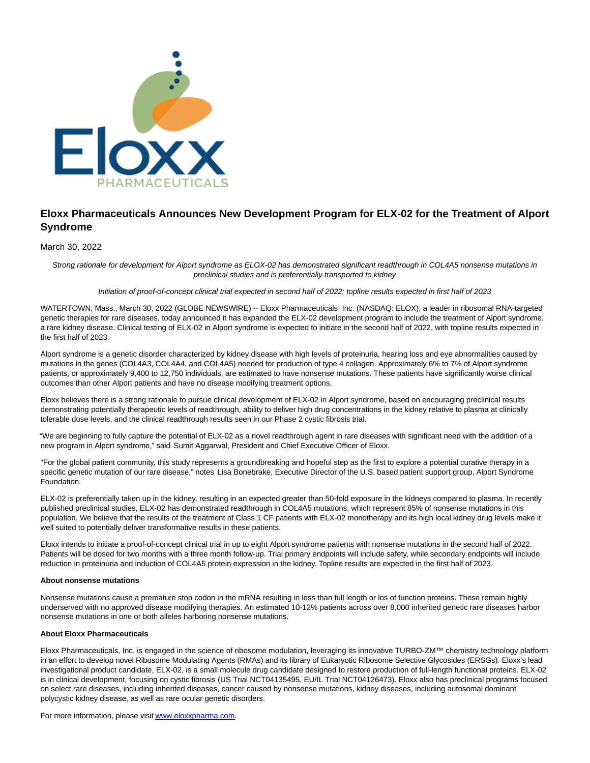

# **Eloxx Pharmaceuticals Announces New Development Program for ELX-02 for the Treatment of Alport Syndrome**

March 30, 2022

Strong rationale for development for Alport syndrome as ELOX-02 has demonstrated significant readthrough in COL4A5 nonsense mutations in preclinical studies and is preferentially transported to kidney

# Initiation of proof-of-concept clinical trial expected in second half of 2022; topline results expected in first half of 2023

WATERTOWN, Mass., March 30, 2022 (GLOBE NEWSWIRE) -- Eloxx Pharmaceuticals, Inc. (NASDAQ: ELOX), a leader in ribosomal RNA-targeted genetic therapies for rare diseases, today announced it has expanded the ELX-02 development program to include the treatment of Alport syndrome, a rare kidney disease. Clinical testing of ELX-02 in Alport syndrome is expected to initiate in the second half of 2022, with topline results expected in the first half of 2023.

Alport syndrome is a genetic disorder characterized by kidney disease with high levels of proteinuria, hearing loss and eye abnormalities caused by mutations in the genes (COL4A3, COL4A4, and COL4A5) needed for production of type 4 collagen. Approximately 6% to 7% of Alport syndrome patients, or approximately 9,400 to 12,750 individuals, are estimated to have nonsense mutations. These patients have significantly worse clinical outcomes than other Alport patients and have no disease modifying treatment options.

Eloxx believes there is a strong rationale to pursue clinical development of ELX-02 in Alport syndrome, based on encouraging preclinical results demonstrating potentially therapeutic levels of readthrough, ability to deliver high drug concentrations in the kidney relative to plasma at clinically tolerable dose levels, and the clinical readthrough results seen in our Phase 2 cystic fibrosis trial.

"We are beginning to fully capture the potential of ELX-02 as a novel readthrough agent in rare diseases with significant need with the addition of a new program in Alport syndrome," said Sumit Aggarwal, President and Chief Executive Officer of Eloxx.

"For the global patient community, this study represents a groundbreaking and hopeful step as the first to explore a potential curative therapy in a specific genetic mutation of our rare disease," notes Lisa Bonebrake, Executive Director of the U.S. based patient support group, Alport Syndrome Foundation.

ELX-02 is preferentially taken up in the kidney, resulting in an expected greater than 50-fold exposure in the kidneys compared to plasma. In recently published preclinical studies, ELX-02 has demonstrated readthrough in COL4A5 mutations, which represent 85% of nonsense mutations in this population. We believe that the results of the treatment of Class 1 CF patients with ELX-02 monotherapy and its high local kidney drug levels make it well suited to potentially deliver transformative results in these patients.

Eloxx intends to initiate a proof-of-concept clinical trial in up to eight Alport syndrome patients with nonsense mutations in the second half of 2022. Patients will be dosed for two months with a three month follow-up. Trial primary endpoints will include safety, while secondary endpoints will include reduction in proteinuria and induction of COL4A5 protein expression in the kidney. Topline results are expected in the first half of 2023.

#### **About nonsense mutations**

Nonsense mutations cause a premature stop codon in the mRNA resulting in less than full length or los of function proteins. These remain highly underserved with no approved disease modifying therapies. An estimated 10-12% patients across over 8,000 inherited genetic rare diseases harbor nonsense mutations in one or both alleles harboring nonsense mutations.

## **About Eloxx Pharmaceuticals**

Eloxx Pharmaceuticals, Inc. is engaged in the science of ribosome modulation, leveraging its innovative TURBO-ZM™ chemistry technology platform in an effort to develop novel Ribosome Modulating Agents (RMAs) and its library of Eukaryotic Ribosome Selective Glycosides (ERSGs). Eloxx's lead investigational product candidate, ELX-02, is a small molecule drug candidate designed to restore production of full-length functional proteins. ELX-02 is in clinical development, focusing on cystic fibrosis (US Trial NCT04135495, EU/IL Trial NCT04126473). Eloxx also has preclinical programs focused on select rare diseases, including inherited diseases, cancer caused by nonsense mutations, kidney diseases, including autosomal dominant polycystic kidney disease, as well as rare ocular genetic disorders.

For more information, please visi[t www.eloxxpharma.com.](https://www.globenewswire.com/Tracker?data=W1bRx6GdQsusV5aXCJR7LJ4MuizucsaReYVap46oNZQ5YzROQPLQQqaFm0F1n5yghilqDIAA2o7EZVmRt2kpltsvOlaYRnmvb8cSbN4bNus=)